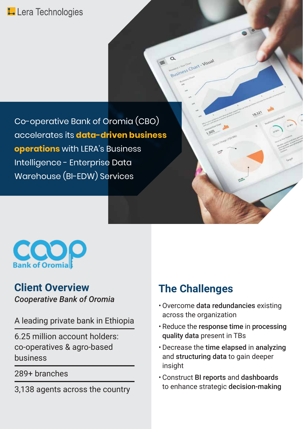## L Lera Technologies

Co-operative Bank of Oromia (CBO) accelerates its **data-driven business operations** with LERA's Business Intelligence - Enterprise Data Warehouse (BI-EDW) Services



### **Client Overview The Challenges** *Cooperative Bank of Oromia*

A leading private bank in Ethiopia

6.25 million account holders: co-operatives & agro-based business

289+ branches

3,138 agents across the country

**Q**<br>Business Chart - Visual

18.321

 $\leq$ 

- Overcome data redundancies existing across the organization
- Reduce the response time in processing quality data present in TBs
- Decrease the time elapsed in analyzing and structuring data to gain deeper insight
- Construct BI reports and dashboards to enhance strategic decision-making